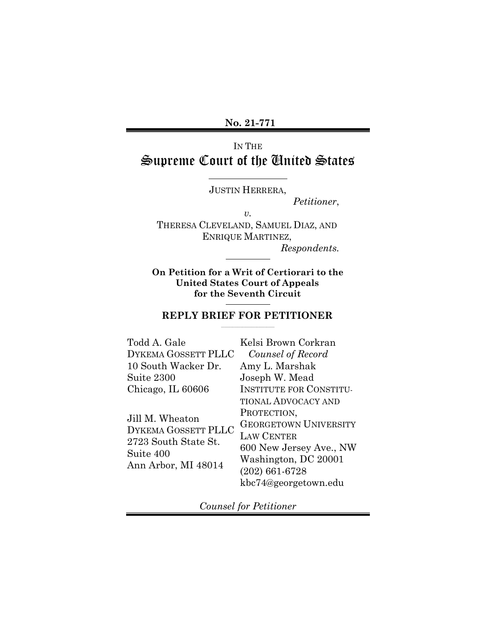**No. 21-771** 

# IN THE Supreme Court of the United States

JUSTIN HERRERA,

*Petitioner*,

*v.* 

THERESA CLEVELAND, SAMUEL DIAZ, AND ENRIQUE MARTINEZ, *Respondents.* 

 $\overline{a}$ **On Petition for a Writ of Certiorari to the United States Court of Appeals for the Seventh Circuit** 

### **REPLY BRIEF FOR PETITIONER**

| Todd A. Gale                                                                                              | Kelsi Brown Corkran            |
|-----------------------------------------------------------------------------------------------------------|--------------------------------|
| DYKEMA GOSSETT PLLC                                                                                       | Counsel of Record              |
| 10 South Wacker Dr.                                                                                       | Amy L. Marshak                 |
| Suite 2300                                                                                                | Joseph W. Mead                 |
| Chicago, IL 60606                                                                                         | <b>INSTITUTE FOR CONSTITU-</b> |
|                                                                                                           | <b>TIONAL ADVOCACY AND</b>     |
| Jill M. Wheaton<br><b>DYKEMA GOSSETT PLLC</b><br>2723 South State St.<br>Suite 400<br>Ann Arbor, MI 48014 | PROTECTION,                    |
|                                                                                                           | <b>GEORGETOWN UNIVERSITY</b>   |
|                                                                                                           | <b>LAW CENTER</b>              |
|                                                                                                           | 600 New Jersey Ave., NW        |
|                                                                                                           | Washington, DC 20001           |
|                                                                                                           | $(202)$ 661-6728               |
|                                                                                                           | kbc74@georgetown.edu           |

*Counsel for Petitioner*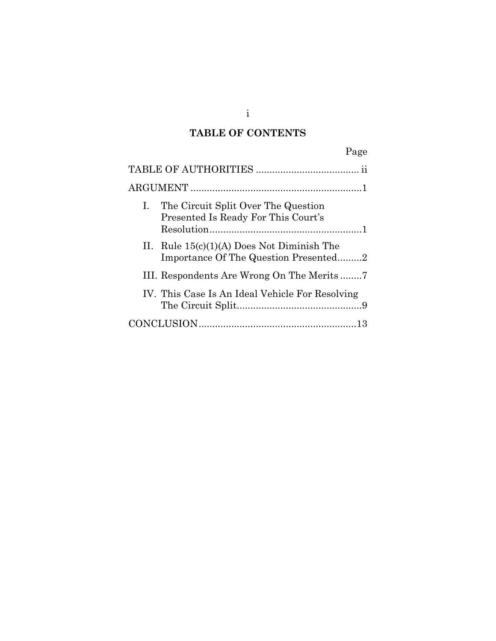## **TABLE OF CONTENTS**

| Page                                                                                  |  |
|---------------------------------------------------------------------------------------|--|
|                                                                                       |  |
|                                                                                       |  |
| I. The Circuit Split Over The Question<br>Presented Is Ready For This Court's         |  |
| II. Rule $15(c)(1)(A)$ Does Not Diminish The<br>Importance Of The Question Presented2 |  |
| III. Respondents Are Wrong On The Merits7                                             |  |
| IV. This Case Is An Ideal Vehicle For Resolving                                       |  |
|                                                                                       |  |

i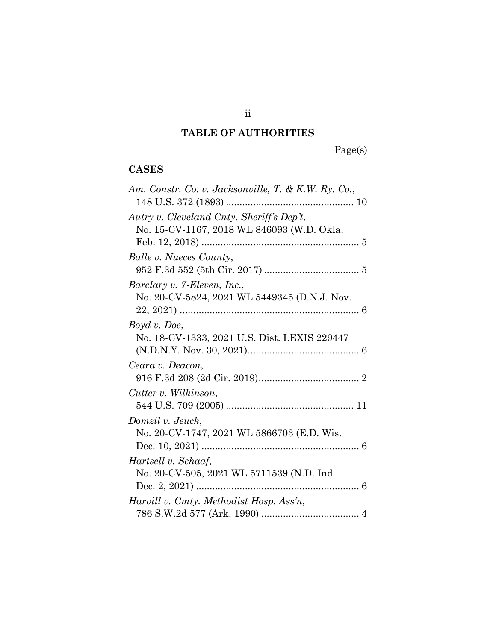## **TABLE OF AUTHORITIES**

Page(s)

### <span id="page-2-0"></span>**CASES**

| Am. Constr. Co. v. Jacksonville, T. & K.W. Ry. Co.,                         |
|-----------------------------------------------------------------------------|
| Autry v. Cleveland Cnty. Sheriff's Dep't,                                   |
| No. 15-CV-1167, 2018 WL 846093 (W.D. Okla.                                  |
| Balle v. Nueces County,                                                     |
| Barclary v. 7-Eleven, Inc.,<br>No. 20-CV-5824, 2021 WL 5449345 (D.N.J. Nov. |
| Boyd v. Doe,<br>No. 18-CV-1333, 2021 U.S. Dist. LEXIS 229447                |
| Ceara v. Deacon,                                                            |
| Cutter v. Wilkinson,                                                        |
| Domzil v. Jeuck,<br>No. 20-CV-1747, 2021 WL 5866703 (E.D. Wis.              |
| Hartsell v. Schaaf,<br>No. 20-CV-505, 2021 WL 5711539 (N.D. Ind.            |
| Harvill v. Cmty. Methodist Hosp. Ass'n,                                     |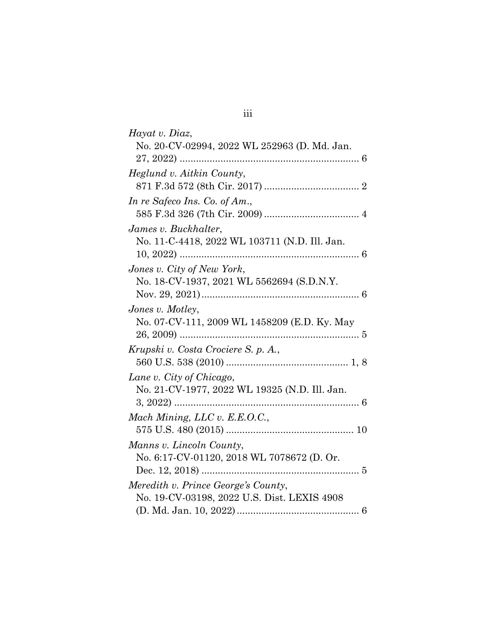| Hayat v. Diaz,                                |
|-----------------------------------------------|
| No. 20-CV-02994, 2022 WL 252963 (D. Md. Jan.  |
| $27, 2022)$                                   |
| Heglund v. Aitkin County,                     |
|                                               |
| In re Safeco Ins. Co. of Am.,                 |
|                                               |
| James v. Buckhalter,                          |
| No. 11-C-4418, 2022 WL 103711 (N.D. Ill. Jan. |
|                                               |
| Jones v. City of New York,                    |
| No. 18-CV-1937, 2021 WL 5562694 (S.D.N.Y.     |
|                                               |
| Jones v. Motley,                              |
| No. 07-CV-111, 2009 WL 1458209 (E.D. Ky. May  |
|                                               |
| Krupski v. Costa Crociere S. p. A.,           |
|                                               |
| Lane v. City of Chicago,                      |
| No. 21-CV-1977, 2022 WL 19325 (N.D. Ill. Jan. |
|                                               |
| Mach Mining, LLC v. E.E.O.C.,                 |
|                                               |
| Manns v. Lincoln County,                      |
| No. 6:17-CV-01120, 2018 WL 7078672 (D. Or.    |
|                                               |
| Meredith v. Prince George's County,           |
| No. 19-CV-03198, 2022 U.S. Dist. LEXIS 4908   |
|                                               |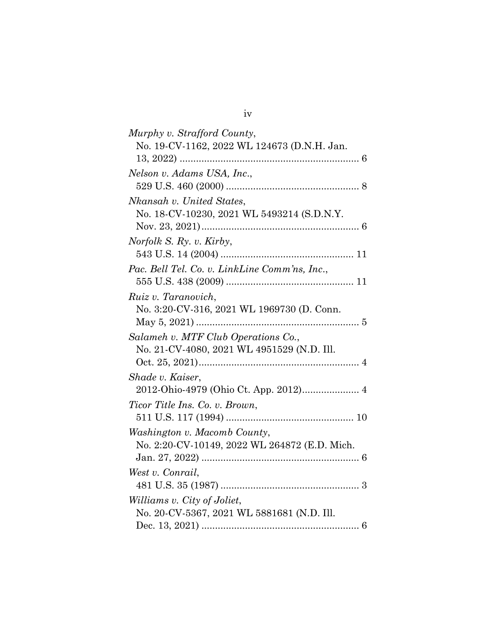| Murphy v. Strafford County,                   |
|-----------------------------------------------|
| No. 19-CV-1162, 2022 WL 124673 (D.N.H. Jan.   |
|                                               |
| Nelson v. Adams USA, Inc.,                    |
|                                               |
| Nkansah v. United States,                     |
| No. 18-CV-10230, 2021 WL 5493214 (S.D.N.Y.    |
|                                               |
| Norfolk S. Ry. v. Kirby,                      |
|                                               |
| Pac. Bell Tel. Co. v. LinkLine Comm'ns, Inc., |
|                                               |
| Ruiz v. Taranovich,                           |
| No. 3:20-CV-316, 2021 WL 1969730 (D. Conn.    |
|                                               |
| Salameh v. MTF Club Operations Co.,           |
| No. 21-CV-4080, 2021 WL 4951529 (N.D. Ill.    |
|                                               |
| Shade v. Kaiser,                              |
|                                               |
| Ticor Title Ins. Co. v. Brown,                |
|                                               |
| Washington v. Macomb County,                  |
| No. 2:20-CV-10149, 2022 WL 264872 (E.D. Mich. |
|                                               |
| West v. Conrail,                              |
|                                               |
| Williams v. City of Joliet,                   |
| No. 20-CV-5367, 2021 WL 5881681 (N.D. Ill.    |
|                                               |

iv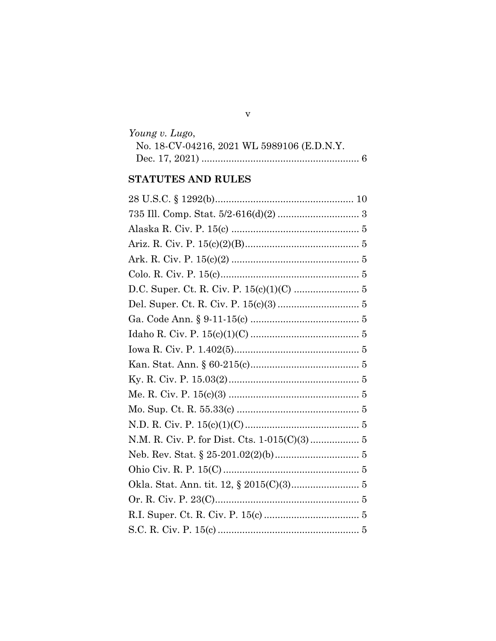#### $\mathbf v$

| Young v. Lugo,                             |  |
|--------------------------------------------|--|
| No. 18-CV-04216, 2021 WL 5989106 (E.D.N.Y. |  |
|                                            |  |

# STATUTES AND RULES

| N.M. R. Civ. P. for Dist. Cts. 1-015(C)(3) 5 |
|----------------------------------------------|
|                                              |
|                                              |
|                                              |
|                                              |
|                                              |
|                                              |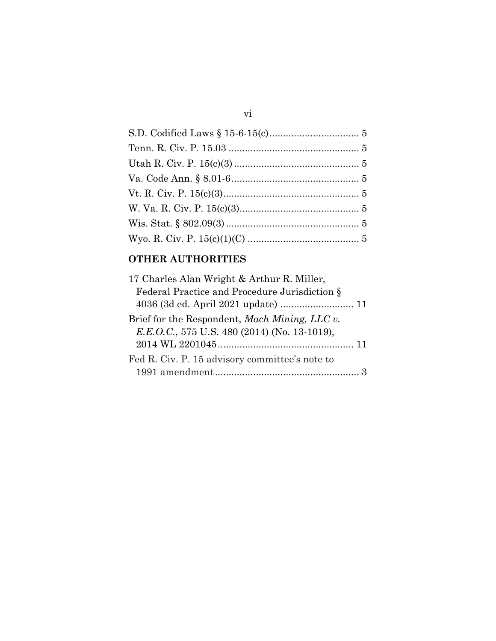## **OTHER AUTHORITIES**

| 17 Charles Alan Wright & Arthur R. Miller,                   |  |
|--------------------------------------------------------------|--|
| Federal Practice and Procedure Jurisdiction §                |  |
|                                                              |  |
| Brief for the Respondent, <i>Mach Mining</i> , <i>LLC v.</i> |  |
| E.E.O.C., 575 U.S. 480 (2014) (No. 13-1019),                 |  |
|                                                              |  |
| Fed R. Civ. P. 15 advisory committee's note to               |  |
|                                                              |  |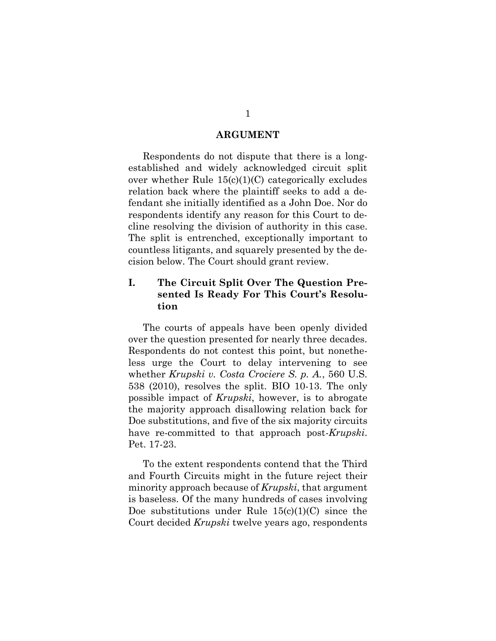#### **ARGUMENT**

<span id="page-7-0"></span> established and widely acknowledged circuit split over whether Rule 15(c)(1)(C) categorically excludes relation back where the plaintiff seeks to add a de- respondents identify any reason for this Court to de- countless litigants, and squarely presented by the de-Respondents do not dispute that there is a longfendant she initially identified as a John Doe. Nor do cline resolving the division of authority in this case. The split is entrenched, exceptionally important to cision below. The Court should grant review.

### <span id="page-7-1"></span> **sented Is Ready For This Court's Resolu-I. The Circuit Split Over The Question Pretion**

 The courts of appeals have been openly divided Respondents do not contest this point, but nonethe- whether *Krupski v. Costa Crociere S. p. A.*, 560 U.S. over the question presented for nearly three decades. less urge the Court to delay intervening to see 538 (2010), resolves the split. BIO 10-13. The only possible impact of *Krupski*, however, is to abrogate the majority approach disallowing relation back for Doe substitutions, and five of the six majority circuits have re-committed to that approach post-*Krupski*. Pet. 17-23.

 To the extent respondents contend that the Third is baseless. Of the many hundreds of cases involving Doe substitutions under Rule  $15(c)(1)(C)$  since the and Fourth Circuits might in the future reject their minority approach because of *Krupski*, that argument Court decided *Krupski* twelve years ago, respondents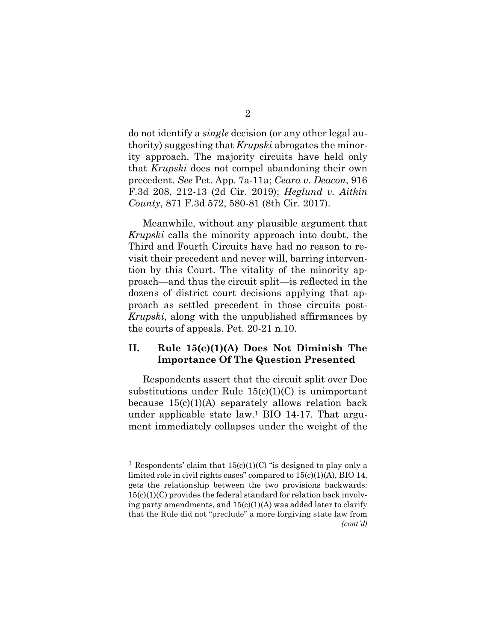<span id="page-8-1"></span> do not identify a *single* decision (or any other legal au- that *Krupski* does not compel abandoning their own F.3d 208, 212-13 (2d Cir. 2019); *Heglund v. Aitkin*  thority) suggesting that *Krupski* abrogates the minority approach. The majority circuits have held only precedent. *See* Pet. App. 7a-11a; *Ceara v. Deacon*, 916 *County*, 871 F.3d 572, 580-81 (8th Cir. 2017).

 Third and Fourth Circuits have had no reason to re- dozens of district court decisions applying that ap-Meanwhile, without any plausible argument that *Krupski* calls the minority approach into doubt, the visit their precedent and never will, barring intervention by this Court. The vitality of the minority approach—and thus the circuit split—is reflected in the proach as settled precedent in those circuits post-*Krupski*, along with the unpublished affirmances by the courts of appeals. Pet. 20-21 n.10.

### <span id="page-8-0"></span>**II. Rule 15(c)(1)(A) Does Not Diminish The Importance Of The Question Presented**

 Respondents assert that the circuit split over Doe substitutions under Rule  $15(c)(1)(C)$  is unimportant ment immediately collapses under the weight of the because  $15(c)(1)(A)$  separately allows relation back under applicable state law.<sup>1</sup> BIO 14-17. That argu-

<sup>&</sup>lt;sup>1</sup> Respondents' claim that  $15(c)(1)(C)$  "is designed to play only a limited role in civil rights cases" compared to 15(c)(1)(A), BIO 14, gets the relationship between the two provisions backwards:  $15(c)(1)(C)$  provides the federal standard for relation back involv- ing party amendments, and 15(c)(1)(A) was added later to clarify that the Rule did not "preclude" a more forgiving state law from *(cont'd)*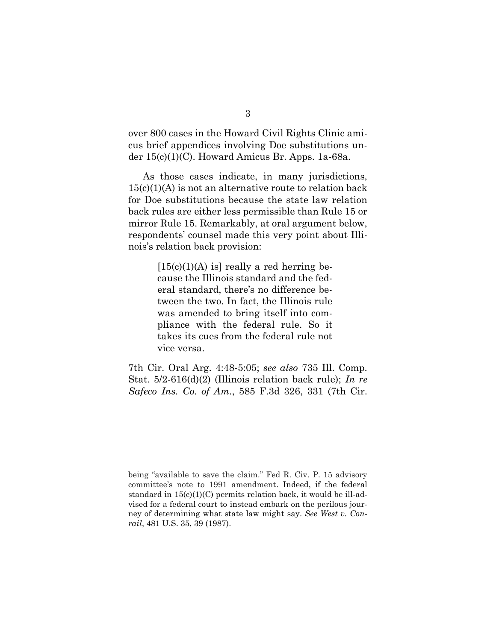<span id="page-9-0"></span> over 800 cases in the Howard Civil Rights Clinic ami- cus brief appendices involving Doe substitutions under 15(c)(1)(C). Howard Amicus Br. Apps. 1a-68a.

 back rules are either less permissible than Rule 15 or mirror Rule 15. Remarkably, at oral argument below, As those cases indicate, in many jurisdictions, 15(c)(1)(A) is not an alternative route to relation back for Doe substitutions because the state law relation respondents' counsel made this very point about Illinois's relation back provision:

> $[15(c)(1)(A)$  is] really a red herring be- takes its cues from the federal rule not cause the Illinois standard and the federal standard, there's no difference between the two. In fact, the Illinois rule was amended to bring itself into compliance with the federal rule. So it vice versa.

 7th Cir. Oral Arg. 4:48-5:05; *see also* 735 Ill. Comp. Stat. 5/2-616(d)(2) (Illinois relation back rule); *In re Safeco Ins. Co. of Am*., 585 F.3d 326, 331 (7th Cir.

 being "available to save the claim." Fed R. Civ. P. 15 advisory committee's note to 1991 amendment. Indeed, if the federal standard in 15(c)(1)(C) permits relation back, it would be ill-advised for a federal court to instead embark on the perilous journey of determining what state law might say. *See West v. Conrail*, 481 U.S. 35, 39 (1987).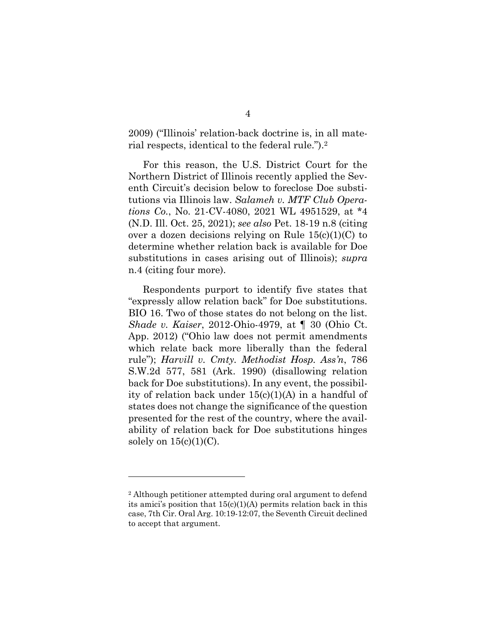<span id="page-10-0"></span>2009) ("Illinois' relation-back doctrine is, in all material respects, identical to the federal rule.").<sup>2</sup>

For this reason, the U.S. District Court for the Northern District of Illinois recently applied the Seventh Circuit's decision below to foreclose Doe substitutions via Illinois law. *Salameh v. MTF Club Operations Co.*, No. 21-CV-4080, 2021 WL 4951529, at \*4 (N.D. Ill. Oct. 25, 2021); *see also* Pet. 18-19 n.8 (citing over a dozen decisions relying on Rule  $15(c)(1)(C)$  to determine whether relation back is available for Doe substitutions in cases arising out of Illinois); *supra*  n.4 (citing four more).

 Respondents purport to identify five states that BIO 16. Two of those states do not belong on the list. App. 2012) ("Ohio law does not permit amendments S.W.2d 577, 581 (Ark. 1990) (disallowing relation ity of relation back under 15(c)(1)(A) in a handful of presented for the rest of the country, where the avail- ability of relation back for Doe substitutions hinges "expressly allow relation back" for Doe substitutions. *Shade v. Kaiser*, 2012-Ohio-4979, at ¶ 30 (Ohio Ct. which relate back more liberally than the federal rule"); *Harvill v. Cmty. Methodist Hosp. Ass'n*, 786 back for Doe substitutions). In any event, the possibilstates does not change the significance of the question solely on  $15(c)(1)(C)$ .

 2 Although petitioner attempted during oral argument to defend its amici's position that 15(c)(1)(A) permits relation back in this case, 7th Cir. Oral Arg. 10:19-12:07, the Seventh Circuit declined to accept that argument.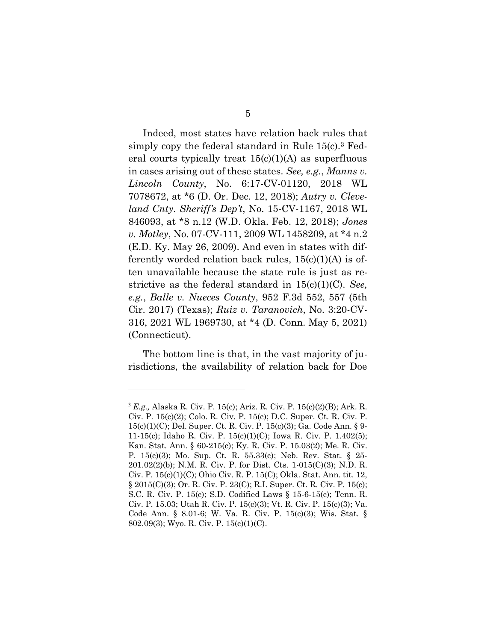<span id="page-11-0"></span> in cases arising out of these states. *See, e.g.*, *Manns v. Lincoln County*, No. 6:17-CV-01120, 2018 WL *land Cnty. Sheriff's Dep't*, No. 15-CV-1167, 2018 WL 846093, at \*8 n.12 (W.D. Okla. Feb. 12, 2018); *Jones v. Motley*, No. 07-CV-111, 2009 WL 1458209, at \*4 n.2 ferently worded relation back rules, 15(c)(1)(A) is of- *e.g.*, *Balle v. Nueces County*, 952 F.3d 552, 557 (5th 316, 2021 WL 1969730, at \*4 (D. Conn. May 5, 2021) Indeed, most states have relation back rules that simply copy the federal standard in Rule 15(c).3 Federal courts typically treat  $15(c)(1)(A)$  as superfluous 7078672, at \*6 (D. Or. Dec. 12, 2018); *Autry v. Cleve-*(E.D. Ky. May 26, 2009). And even in states with diften unavailable because the state rule is just as restrictive as the federal standard in 15(c)(1)(C). *See,*  Cir. 2017) (Texas); *Ruiz v. Taranovich*, No. 3:20-CV-(Connecticut).

 risdictions, the availability of relation back for Doe The bottom line is that, in the vast majority of ju-

 15(c)(1)(C); Del. Super. Ct. R. Civ. P. 15(c)(3); Ga. Code Ann. § 9- 11-15(c); Idaho R. Civ. P. 15(c)(1)(C); Iowa R. Civ. P. 1.402(5); P. 15(c)(3); Mo. Sup. Ct. R. 55.33(c); Neb. Rev. Stat. § 25- S.C. R. Civ. P. 15(c); S.D. Codified Laws § 15-6-15(c); Tenn. R. Code Ann. § 8.01-6; W. Va. R. Civ. P. 15(c)(3); Wis. Stat. § <sup>3</sup>*E.g.,* Alaska R. Civ. P. 15(c); Ariz. R. Civ. P. 15(c)(2)(B); Ark. R. Civ. P. 15(c)(2); Colo. R. Civ. P. 15(c); D.C. Super. Ct. R. Civ. P. Kan. Stat. Ann. § 60-215(c); Ky. R. Civ. P. 15.03(2); Me. R. Civ. 201.02(2)(b); N.M. R. Civ. P. for Dist. Cts. 1-015(C)(3); N.D. R. Civ. P. 15(c)(1)(C); Ohio Civ. R. P. 15(C); Okla. Stat. Ann. tit. 12, § 2015(C)(3); Or. R. Civ. P. 23(C); R.I. Super. Ct. R. Civ. P. 15(c); Civ. P. 15.03; Utah R. Civ. P. 15(c)(3); Vt. R. Civ. P. 15(c)(3); Va. 802.09(3); Wyo. R. Civ. P. 15(c)(1)(C).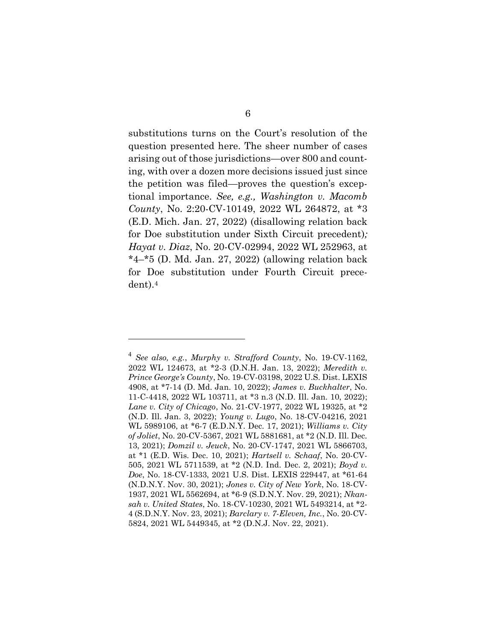<span id="page-12-0"></span> question presented here. The sheer number of cases arising out of those jurisdictions—over 800 and count- ing, with over a dozen more decisions issued just since  tional importance. *See, e.g., Washington v. Macomb County*, No. 2:20-CV-10149, 2022 WL 264872, at \*3 for Doe substitution under Fourth Circuit precesubstitutions turns on the Court's resolution of the the petition was filed—proves the question's excep-(E.D. Mich. Jan. 27, 2022) (disallowing relation back for Doe substitution under Sixth Circuit precedent)*; Hayat v. Diaz*, No. 20-CV-02994, 2022 WL 252963, at  $*4-*5$  (D. Md. Jan. 27, 2022) (allowing relation back dent).4

 2022 WL 124673, at \*2-3 (D.N.H. Jan. 13, 2022); *Meredith v. Prince George's County*, No. 19-CV-03198, 2022 U.S. Dist. LEXIS 11-C-4418, 2022 WL 103711, at \*3 n.3 (N.D. Ill. Jan. 10, 2022);  *Lane v. City of Chicago*, No. 21-CV-1977, 2022 WL 19325, at \*2  WL 5989106, at \*6-7 (E.D.N.Y. Dec. 17, 2021); *Williams v. City of Joliet*, No. 20-CV-5367, 2021 WL 5881681, at \*2 (N.D. Ill. Dec. 13, 2021); *Domzil v. Jeuck*, No. 20-CV-1747, 2021 WL 5866703, at \*1 (E.D. Wis. Dec. 10, 2021); *Hartsell v. Schaaf*, No. 20-CV- 505, 2021 WL 5711539, at \*2 (N.D. Ind. Dec. 2, 2021); *Boyd v. Doe*, No. 18-CV-1333, 2021 U.S. Dist. LEXIS 229447, at \*61-64  (N.D.N.Y. Nov. 30, 2021); *Jones v. City of New York*, No. 18-CV- 1937, 2021 WL 5562694, at \*6-9 (S.D.N.Y. Nov. 29, 2021); *Nkan- sah v. United States*, No. 18-CV-10230, 2021 WL 5493214, at \*2- 4 (S.D.N.Y. Nov. 23, 2021); *Barclary v. 7-Eleven, Inc.*, No. 20-CV-<sup>4</sup>*See also, e.g.*, *Murphy v. Strafford County*, No. 19-CV-1162, 4908, at \*7-14 (D. Md. Jan. 10, 2022); *James v. Buckhalter*, No. (N.D. Ill. Jan. 3, 2022); *Young v. Lugo*, No. 18-CV-04216, 2021 5824, 2021 WL 5449345, at \*2 (D.N.J. Nov. 22, 2021).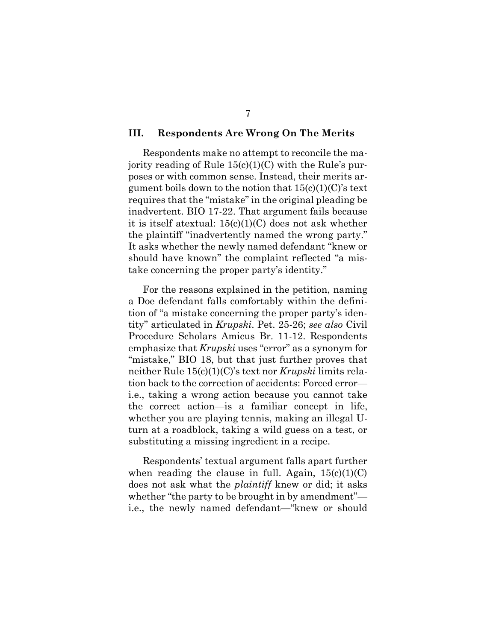#### <span id="page-13-0"></span>**III. Respondents Are Wrong On The Merits**

 it is itself atextual: 15(c)(1)(C) does not ask whether the plaintiff "inadvertently named the wrong party." It asks whether the newly named defendant "knew or Respondents make no attempt to reconcile the majority reading of Rule  $15(c)(1)(C)$  with the Rule's purposes or with common sense. Instead, their merits argument boils down to the notion that  $15(c)(1)(C)$ 's text requires that the "mistake" in the original pleading be inadvertent. BIO 17-22. That argument fails because should have known" the complaint reflected "a mistake concerning the proper party's identity."

 "mistake," BIO 18, but that just further proves that turn at a roadblock, taking a wild guess on a test, or For the reasons explained in the petition, naming a Doe defendant falls comfortably within the definition of "a mistake concerning the proper party's identity" articulated in *Krupski*. Pet. 25-26; *see also* Civil Procedure Scholars Amicus Br. 11-12. Respondents emphasize that *Krupski* uses "error" as a synonym for neither Rule 15(c)(1)(C)'s text nor *Krupski* limits relation back to the correction of accidents: Forced error i.e., taking a wrong action because you cannot take the correct action—is a familiar concept in life, whether you are playing tennis, making an illegal Usubstituting a missing ingredient in a recipe.

 Respondents' textual argument falls apart further does not ask what the *plaintiff* knew or did; it asks whether "the party to be brought in by amendment"— i.e., the newly named defendant—"knew or shouldwhen reading the clause in full. Again,  $15(c)(1)(C)$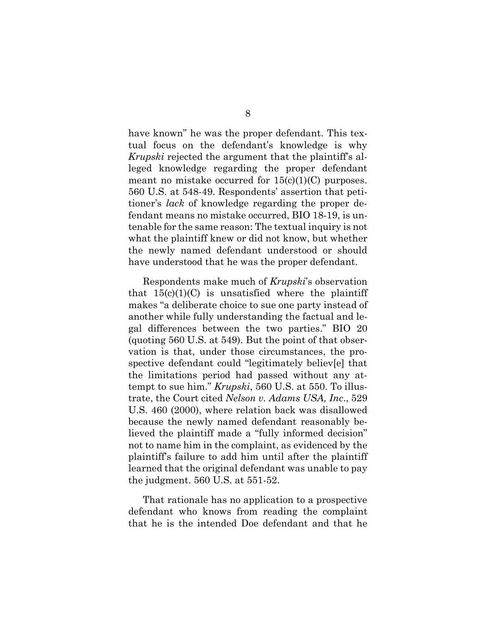<span id="page-14-0"></span> tual focus on the defendant's knowledge is why meant no mistake occurred for  $15(c)(1)(C)$  purposes. tenable for the same reason: The textual inquiry is not the newly named defendant understood or should have known" he was the proper defendant. This tex-*Krupski* rejected the argument that the plaintiff's alleged knowledge regarding the proper defendant 560 U.S. at 548-49. Respondents' assertion that petitioner's *lack* of knowledge regarding the proper defendant means no mistake occurred, BIO 18-19, is unwhat the plaintiff knew or did not know, but whether have understood that he was the proper defendant.

 makes "a deliberate choice to sue one party instead of gal differences between the two parties." BIO 20 (quoting 560 U.S. at 549). But the point of that obser- spective defendant could "legitimately believ[e] that the limitations period had passed without any at- trate, the Court cited *Nelson v. Adams USA, Inc*., 529 U.S. 460 (2000), where relation back was disallowed because the newly named defendant reasonably be- lieved the plaintiff made a "fully informed decision" not to name him in the complaint, as evidenced by the plaintiff's failure to add him until after the plaintiff learned that the original defendant was unable to pay Respondents make much of *Krupski*'s observation that  $15(c)(1)(C)$  is unsatisfied where the plaintiff another while fully understanding the factual and levation is that, under those circumstances, the protempt to sue him." *Krupski*, 560 U.S. at 550. To illusthe judgment. 560 U.S. at 551-52.

 defendant who knows from reading the complaint That rationale has no application to a prospective that he is the intended Doe defendant and that he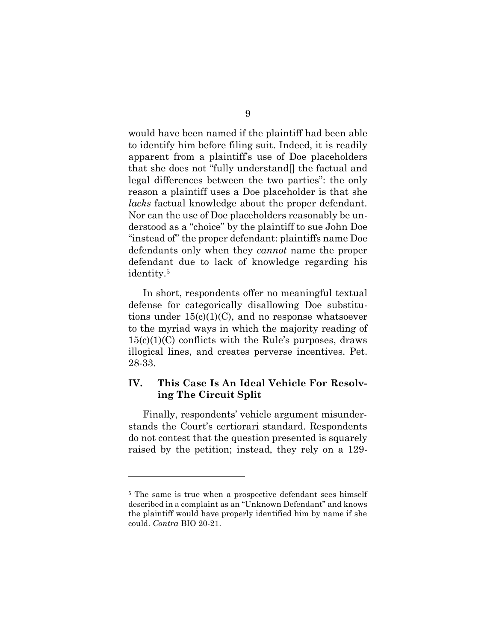would have been named if the plaintiff had been able that she does not "fully understand[] the factual and reason a plaintiff uses a Doe placeholder is that she *lacks* factual knowledge about the proper defendant. Nor can the use of Doe placeholders reasonably be un- derstood as a "choice" by the plaintiff to sue John Doe to identify him before filing suit. Indeed, it is readily apparent from a plaintiff's use of Doe placeholders legal differences between the two parties": the only "instead of" the proper defendant: plaintiffs name Doe defendants only when they *cannot* name the proper defendant due to lack of knowledge regarding his identity.5

 defense for categorically disallowing Doe substitutions under  $15(c)(1)(C)$ , and no response whatsoever illogical lines, and creates perverse incentives. Pet. In short, respondents offer no meaningful textual to the myriad ways in which the majority reading of  $15(c)(1)(C)$  conflicts with the Rule's purposes, draws 28-33.

#### <span id="page-15-0"></span>**IV. This Case Is An Ideal Vehicle For Resolving The Circuit Split**

 do not contest that the question presented is squarely raised by the petition; instead, they rely on a 129- Finally, respondents' vehicle argument misunderstands the Court's certiorari standard. Respondents

<sup>&</sup>lt;sup>5</sup> The same is true when a prospective defendant sees himself described in a complaint as an "Unknown Defendant" and knows the plaintiff would have properly identified him by name if she could. *Contra* BIO 20-21.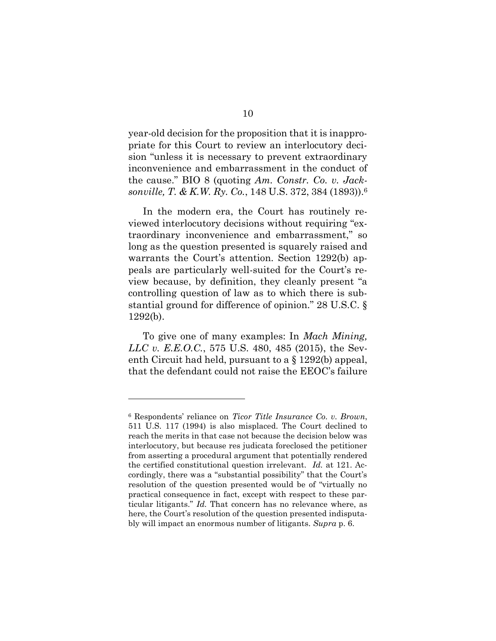<span id="page-16-0"></span> the cause." BIO 8 (quoting *Am. Constr. Co. v. Jack- sonville, T. & K.W. Ry. Co.*, 148 U.S. 372, 384 (1893)).6 year-old decision for the proposition that it is inappropriate for this Court to review an interlocutory decision "unless it is necessary to prevent extraordinary inconvenience and embarrassment in the conduct of

 long as the question presented is squarely raised and warrants the Court's attention. Section 1292(b) ap- stantial ground for difference of opinion." 28 U.S.C. § In the modern era, the Court has routinely reviewed interlocutory decisions without requiring "extraordinary inconvenience and embarrassment," so peals are particularly well-suited for the Court's review because, by definition, they cleanly present "a controlling question of law as to which there is sub-1292(b).

 *LLC v. E.E.O.C.*, 575 U.S. 480, 485 (2015), the Sev-To give one of many examples: In *Mach Mining,*  enth Circuit had held, pursuant to a § 1292(b) appeal, that the defendant could not raise the EEOC's failure

 <sup>6</sup>Respondents' reliance on *Ticor Title Insurance Co. v. Brown*, 511 U.S. 117 (1994) is also misplaced. The Court declined to reach the merits in that case not because the decision below was interlocutory, but because res judicata foreclosed the petitioner the certified constitutional question irrelevant. *Id.* at 121. Ac- cordingly, there was a "substantial possibility" that the Court's resolution of the question presented would be of "virtually no practical consequence in fact, except with respect to these par- ticular litigants." *Id.* That concern has no relevance where, as here, the Court's resolution of the question presented indisputafrom asserting a procedural argument that potentially rendered bly will impact an enormous number of litigants. *Supra* p. 6.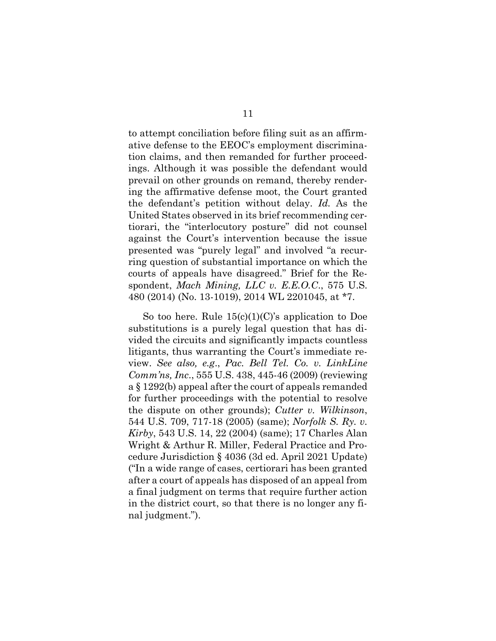<span id="page-17-0"></span> tion claims, and then remanded for further proceed- ings. Although it was possible the defendant would prevail on other grounds on remand, thereby render- tiorari, the "interlocutory posture" did not counsel presented was "purely legal" and involved "a recur- spondent, *Mach Mining, LLC v. E.E.O.C*., 575 U.S. to attempt conciliation before filing suit as an affirmative defense to the EEOC's employment discriminaing the affirmative defense moot, the Court granted the defendant's petition without delay. *Id.* As the United States observed in its brief recommending ceragainst the Court's intervention because the issue ring question of substantial importance on which the courts of appeals have disagreed." Brief for the Re-480 (2014) (No. 13-1019), 2014 WL 2201045, at \*7.

 substitutions is a purely legal question that has di- litigants, thus warranting the Court's immediate re- view. *See also, e.g*., *Pac. Bell Tel. Co. v. LinkLine Comm'ns, Inc*., 555 U.S. 438, 445-46 (2009) (reviewing for further proceedings with the potential to resolve 544 U.S. 709, 717-18 (2005) (same); *Norfolk S. Ry. v. Kirby*, 543 U.S. 14, 22 (2004) (same); 17 Charles Alan Wright & Arthur R. Miller, Federal Practice and Pro- cedure Jurisdiction § 4036 (3d ed. April 2021 Update) ("In a wide range of cases, certiorari has been granted after a court of appeals has disposed of an appeal from in the district court, so that there is no longer any fi-So too here. Rule  $15(c)(1)(C)$ 's application to Doe vided the circuits and significantly impacts countless a § 1292(b) appeal after the court of appeals remanded the dispute on other grounds); *Cutter v. Wilkinson*, a final judgment on terms that require further action nal judgment.").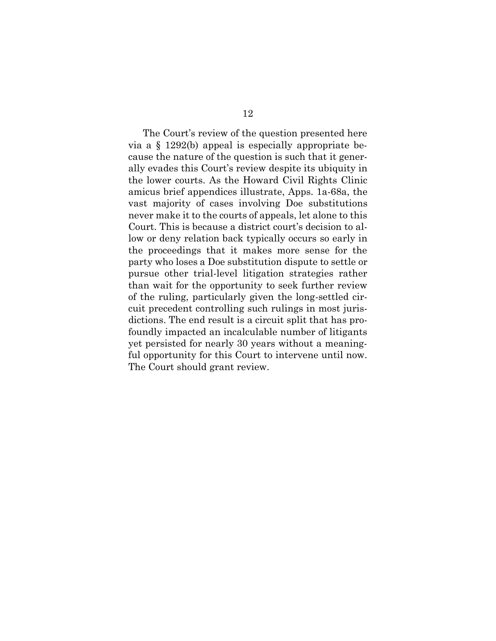via a § 1292(b) appeal is especially appropriate be- ally evades this Court's review despite its ubiquity in the lower courts. As the Howard Civil Rights Clinic vast majority of cases involving Doe substitutions low or deny relation back typically occurs so early in the proceedings that it makes more sense for the party who loses a Doe substitution dispute to settle or than wait for the opportunity to seek further review of the ruling, particularly given the long-settled cir- foundly impacted an incalculable number of litigants yet persisted for nearly 30 years without a meaning- ful opportunity for this Court to intervene until now. The Court's review of the question presented here cause the nature of the question is such that it generamicus brief appendices illustrate, Apps. 1a-68a, the never make it to the courts of appeals, let alone to this Court. This is because a district court's decision to alpursue other trial-level litigation strategies rather cuit precedent controlling such rulings in most jurisdictions. The end result is a circuit split that has pro-The Court should grant review.